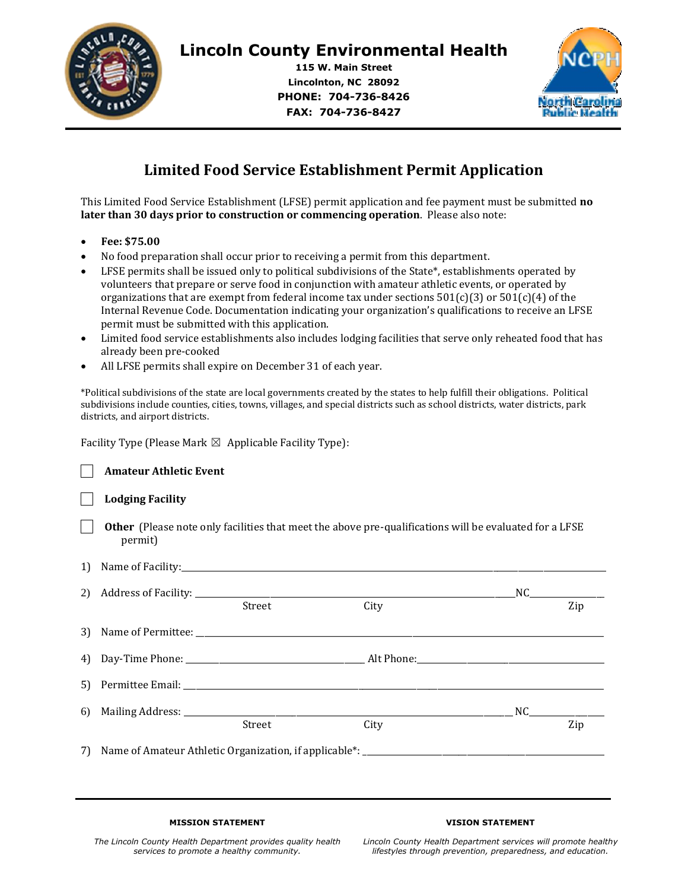

**115 W. Main Street Lincolnton, NC 28092 PHONE: 704-736-8426 FAX: 704-736-8427**



## **Limited Food Service Establishment Permit Application**

This Limited Food Service Establishment (LFSE) permit application and fee payment must be submitted **no later than 30 days prior to construction or commencing operation**. Please also note:

- **Fee: \$75.00**
- No food preparation shall occur prior to receiving a permit from this department.
- LFSE permits shall be issued only to political subdivisions of the State\*, establishments operated by volunteers that prepare or serve food in conjunction with amateur athletic events, or operated by organizations that are exempt from federal income tax under sections  $501(c)(3)$  or  $501(c)(4)$  of the Internal Revenue Code. Documentation indicating your organization's qualifications to receive an LFSE permit must be submitted with this application.
- Limited food service establishments also includes lodging facilities that serve only reheated food that has already been pre-cooked
- All LFSE permits shall expire on December 31 of each year.

\*Political subdivisions of the state are local governments created by the states to help fulfill their obligations. Political subdivisions include counties, cities, towns, villages, and special districts such as school districts, water districts, park districts, and airport districts.

Facility Type (Please Mark  $\boxtimes$  Applicable Facility Type):

|    | <b>Amateur Athletic Event</b> |        |                                                                                                               |                                                                                                                                                                                                                                |
|----|-------------------------------|--------|---------------------------------------------------------------------------------------------------------------|--------------------------------------------------------------------------------------------------------------------------------------------------------------------------------------------------------------------------------|
|    | <b>Lodging Facility</b>       |        |                                                                                                               |                                                                                                                                                                                                                                |
|    | permit)                       |        | <b>Other</b> (Please note only facilities that meet the above pre-qualifications will be evaluated for a LFSE |                                                                                                                                                                                                                                |
|    |                               |        |                                                                                                               |                                                                                                                                                                                                                                |
|    |                               |        |                                                                                                               | $NC$ and $C$ and $C$ and $C$ and $C$ and $C$ and $C$ and $C$ and $C$ and $C$ and $C$ and $C$ and $C$ and $C$ and $C$ and $C$ and $C$ and $C$ and $C$ and $C$ and $C$ and $C$ and $C$ and $C$ and $C$ and $C$ and $C$ and $C$ a |
|    |                               | Street | City                                                                                                          | Zip                                                                                                                                                                                                                            |
|    |                               |        |                                                                                                               |                                                                                                                                                                                                                                |
|    |                               |        |                                                                                                               |                                                                                                                                                                                                                                |
|    |                               |        |                                                                                                               |                                                                                                                                                                                                                                |
| 6) |                               |        |                                                                                                               |                                                                                                                                                                                                                                |
|    |                               | Street | City                                                                                                          | Zip                                                                                                                                                                                                                            |
|    |                               |        |                                                                                                               |                                                                                                                                                                                                                                |

## **MISSION STATEMENT**

## **VISION STATEMENT**

*The Lincoln County Health Department provides quality health services to promote a healthy community.*

*Lincoln County Health Department services will promote healthy lifestyles through prevention, preparedness, and education.*